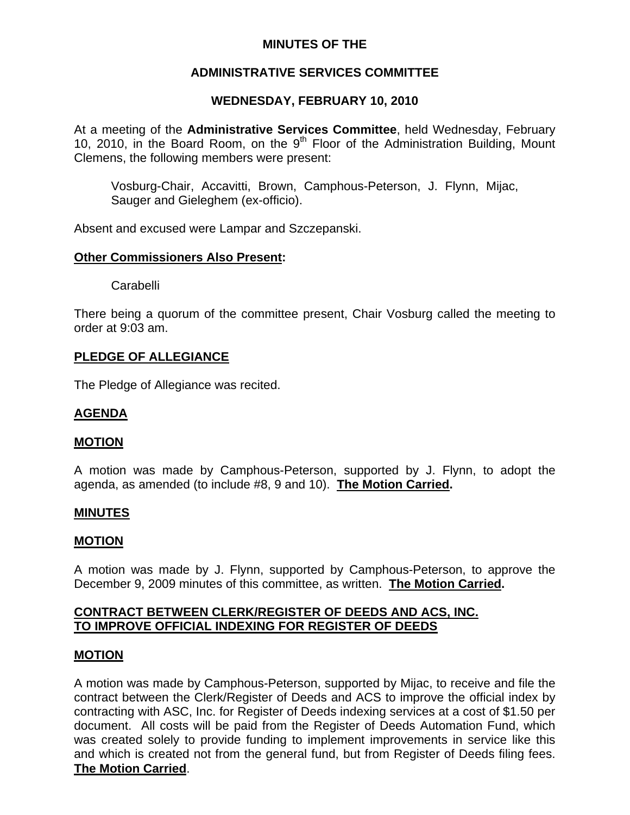# **MINUTES OF THE**

# **ADMINISTRATIVE SERVICES COMMITTEE**

# **WEDNESDAY, FEBRUARY 10, 2010**

At a meeting of the **Administrative Services Committee**, held Wednesday, February 10, 2010, in the Board Room, on the  $9<sup>th</sup>$  Floor of the Administration Building, Mount Clemens, the following members were present:

Vosburg-Chair, Accavitti, Brown, Camphous-Peterson, J. Flynn, Mijac, Sauger and Gieleghem (ex-officio).

Absent and excused were Lampar and Szczepanski.

## **Other Commissioners Also Present:**

Carabelli

There being a quorum of the committee present, Chair Vosburg called the meeting to order at 9:03 am.

## **PLEDGE OF ALLEGIANCE**

The Pledge of Allegiance was recited.

## **AGENDA**

### **MOTION**

A motion was made by Camphous-Peterson, supported by J. Flynn, to adopt the agenda, as amended (to include #8, 9 and 10). **The Motion Carried.** 

### **MINUTES**

### **MOTION**

A motion was made by J. Flynn, supported by Camphous-Peterson, to approve the December 9, 2009 minutes of this committee, as written. **The Motion Carried.** 

## **CONTRACT BETWEEN CLERK/REGISTER OF DEEDS AND ACS, INC. TO IMPROVE OFFICIAL INDEXING FOR REGISTER OF DEEDS**

### **MOTION**

A motion was made by Camphous-Peterson, supported by Mijac, to receive and file the contract between the Clerk/Register of Deeds and ACS to improve the official index by contracting with ASC, Inc. for Register of Deeds indexing services at a cost of \$1.50 per document. All costs will be paid from the Register of Deeds Automation Fund, which was created solely to provide funding to implement improvements in service like this and which is created not from the general fund, but from Register of Deeds filing fees. **The Motion Carried**.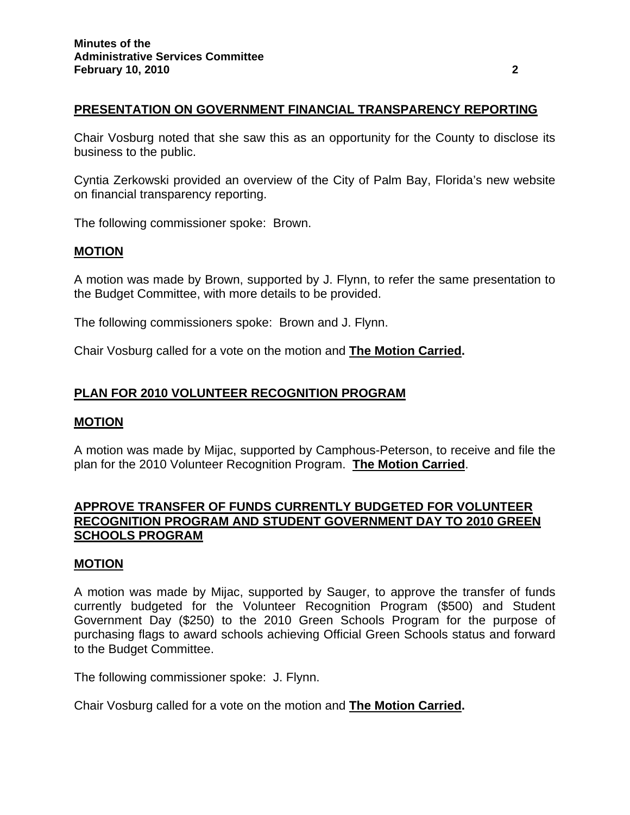## **PRESENTATION ON GOVERNMENT FINANCIAL TRANSPARENCY REPORTING**

Chair Vosburg noted that she saw this as an opportunity for the County to disclose its business to the public.

Cyntia Zerkowski provided an overview of the City of Palm Bay, Florida's new website on financial transparency reporting.

The following commissioner spoke: Brown.

# **MOTION**

A motion was made by Brown, supported by J. Flynn, to refer the same presentation to the Budget Committee, with more details to be provided.

The following commissioners spoke: Brown and J. Flynn.

Chair Vosburg called for a vote on the motion and **The Motion Carried.**

## **PLAN FOR 2010 VOLUNTEER RECOGNITION PROGRAM**

#### **MOTION**

A motion was made by Mijac, supported by Camphous-Peterson, to receive and file the plan for the 2010 Volunteer Recognition Program. **The Motion Carried**.

## **APPROVE TRANSFER OF FUNDS CURRENTLY BUDGETED FOR VOLUNTEER RECOGNITION PROGRAM AND STUDENT GOVERNMENT DAY TO 2010 GREEN SCHOOLS PROGRAM**

#### **MOTION**

A motion was made by Mijac, supported by Sauger, to approve the transfer of funds currently budgeted for the Volunteer Recognition Program (\$500) and Student Government Day (\$250) to the 2010 Green Schools Program for the purpose of purchasing flags to award schools achieving Official Green Schools status and forward to the Budget Committee.

The following commissioner spoke: J. Flynn.

Chair Vosburg called for a vote on the motion and **The Motion Carried.**